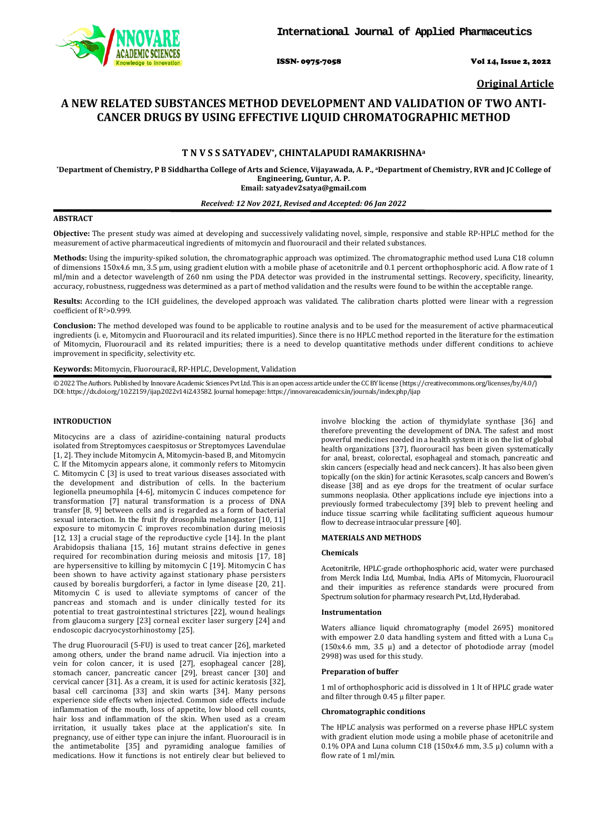

ISSN- 0975-7058 Vol 14, Issue 2, 2022

**Original Article**

# **A NEW RELATED SUBSTANCES METHOD DEVELOPMENT AND VALIDATION OF TWO ANTI-CANCER DRUGS BY USING EFFECTIVE LIQUID CHROMATOGRAPHIC METHOD**

# **T N V S S SATYADEV\*, CHINTALAPUDI RAMAKRISHNAa**

**\*Department of Chemistry, P B Siddhartha College of Arts and Science, Vijayawada, A. P., aDepartment of Chemistry, RVR and JC College of Engineering, Guntur, A. P. Email: satyadev2satya@gmail.com**

#### *Received: 12 Nov 2021, Revised and Accepted: 06 Jan 2022*

### **ABSTRACT**

**Objective:** The present study was aimed at developing and successively validating novel, simple, responsive and stable RP-HPLC method for the measurement of active pharmaceutical ingredients of mitomycin and fluorouracil and their related substances.

**Methods:** Using the impurity-spiked solution, the chromatographic approach was optimized. The chromatographic method used Luna C18 column of dimensions 150x4.6 mn, 3.5 μm, using gradient elution with a mobile phase of acetonitrile and 0.1 percent orthophosphoric acid. A flow rate of 1 ml/min and a detector wavelength of 260 nm using the PDA detector was provided in the instrumental settings. Recovery, specificity, linearity, accuracy, robustness, ruggedness was determined as a part of method validation and the results were found to be within the acceptable range.

**Results:** According to the ICH guidelines, the developed approach was validated. The calibration charts plotted were linear with a regression coefficient of R2>0.999.

**Conclusion:** The method developed was found to be applicable to routine analysis and to be used for the measurement of active pharmaceutical ingredients (i. e, Mitomycin and Fluorouracil and its related impurities). Since there is no HPLC method reported in the literature for the estimation of Mitomycin, Fluorouracil and its related impurities; there is a need to develop quantitative methods under different conditions to achieve improvement in specificity, selectivity etc.

**Keywords:** Mitomycin, Fluorouracil, RP-HPLC, Development, Validation

© 2022 The Authors. Published by Innovare Academic Sciences Pvt Ltd. This is an open access article under the CC BY license [\(https://creativecommons.org/licenses/by/4.0/\)](https://creativecommons.org/licenses/by/4.0/) DOI: https://dx.doi.org/10.22159/ijap.2022v14i2.43582. Journal homepage[: https://innovareacademics.in/journals/index.php/ijap](https://innovareacademics.in/journals/index.php/ijap)

# **INTRODUCTION**

Mitocycins are a class of aziridine-containing natural products isolated from Streptomyces caespitosus or Streptomyces Lavendulae [1, 2]. They include Mitomycin A, Mitomycin-based B, and Mitomycin C. If the Mitomycin appears alone, it commonly refers to Mitomycin C. Mitomycin C [3] is used to treat various diseases associated with the development and distribution of cells. In the bacterium legionella pneumophila [4-6], mitomycin C induces competence for transformation [7] natural transformation is a process of DNA transfer [8, 9] between cells and is regarded as a form of bacterial sexual interaction. In the fruit fly drosophila melanogaster [10, 11] exposure to mitomycin C improves recombination during meiosis [12, 13] a crucial stage of the reproductive cycle [14]. In the plant Arabidopsis thaliana [15, 16] mutant strains defective in genes required for recombination during meiosis and mitosis [17, 18] are hypersensitive to killing by mitomycin C [19]. Mitomycin C has been shown to have activity against stationary phase persisters caused by borealis burgdorferi, a factor in lyme disease [20, 21]. Mitomycin C is used to alleviate symptoms of cancer of the pancreas and stomach and is under clinically tested for its potential to treat gastrointestinal strictures [22], wound healings from glaucoma surgery [23] corneal exciter laser surgery [24] and endoscopic dacryocystorhinostomy [25].

The drug Fluorouracil (5-FU) is used to treat cancer [26], marketed among others, under the brand name adrucil. Via injection into a vein for colon cancer, it is used [27], esophageal cancer [28], stomach cancer, pancreatic cancer [29], breast cancer [30] and cervical cancer [31]. As a cream, it is used for actinic keratosis [32], basal cell carcinoma [33] and skin warts [34]. Many persons experience side effects when injected. Common side effects include inflammation of the mouth, loss of appetite, low blood cell counts, hair loss and inflammation of the skin. When used as a cream irritation, it usually takes place at the application's site. In pregnancy, use of either type can injure the infant. Fluorouracil is in the antimetabolite [35] and pyramiding analogue families of medications. How it functions is not entirely clear but believed to involve blocking the action of thymidylate synthase [36] and therefore preventing the development of DNA. The safest and most powerful medicines needed in a health system it is on the list of global health organizations [37], fluorouracil has been given systematically for anal, breast, colorectal, esophageal and stomach, pancreatic and skin cancers (especially head and neck cancers). It has also been given topically (on the skin) for actinic Kerasotes, scalp cancers and Bowen's disease [38] and as eye drops for the treatment of ocular surface summons neoplasia. Other applications include eye injections into a previously formed trabeculectomy [39] bleb to prevent heeling and induce tissue scarring while facilitating sufficient aqueous humour flow to decrease intraocular pressure [40].

# **MATERIALS AND METHODS**

## **Chemicals**

Acetonitrile, HPLC-grade orthophosphoric acid, water were purchased from Merck India Ltd, Mumbai, India. APIs of Mitomycin, Fluorouracil and their impurities as reference standards were procured from Spectrum solution for pharmacy research Pvt, Ltd, Hyderabad.

#### **Instrumentation**

Waters alliance liquid chromatography (model 2695) monitored with empower 2.0 data handling system and fitted with a Luna C<sub>18</sub> (150x4.6 mm, 3.5  $\mu$ ) and a detector of photodiode array (model 2998) was used for this study.

# **Preparation of buffer**

1 ml of orthophosphoric acid is dissolved in 1 lt of HPLC grade water and filter through 0.45 µ filter paper.

### **Chromatographic conditions**

The HPLC analysis was performed on a reverse phase HPLC system with gradient elution mode using a mobile phase of acetonitrile and 0.1% OPA and Luna column C18 (150x4.6 mm, 3.5 μ) column with a flow rate of 1 ml/min.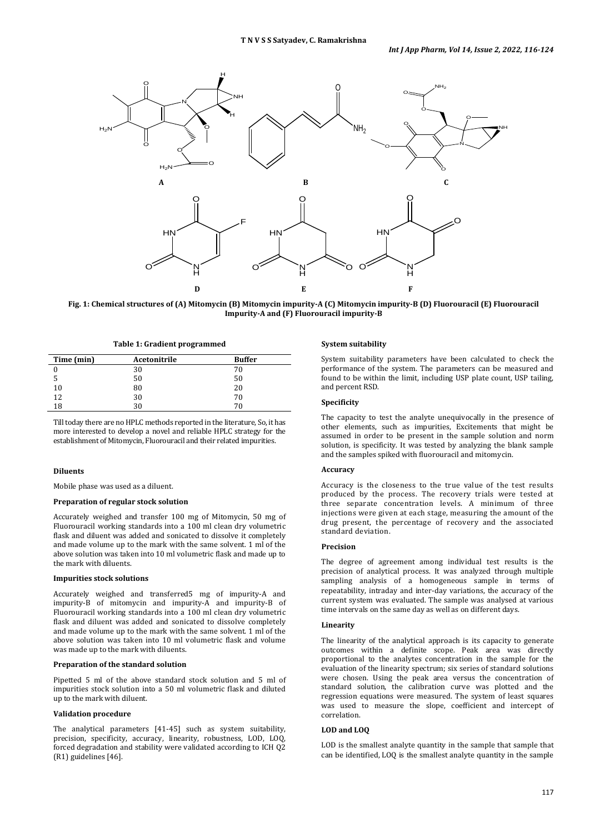

**Fig. 1: Chemical structures of (A) Mitomycin (B) Mitomycin impurity-A (C) Mitomycin impurity-B (D) Fluorouracil (E) Fluorouracil Impurity-A and (F) Fluorouracil impurity-B**

**Table 1: Gradient programmed**

| Time (min) | Acetonitrile | <b>Buffer</b> |
|------------|--------------|---------------|
|            | 30           | 70            |
|            | 50           | 50            |
| 10         | 80           | 20            |
| 12         | 30           | 70            |
| 18         | 30           | 70            |

Till today there are no HPLC methods reported in the literature, So, it has more interested to develop a novel and reliable HPLC strategy for the establishment of Mitomycin, Fluorouracil and their related impurities.

### **Diluents**

Mobile phase was used as a diluent.

# **Preparation of regular stock solution**

Accurately weighed and transfer 100 mg of Mitomycin, 50 mg of Fluorouracil working standards into a 100 ml clean dry volumetric flask and diluent was added and sonicated to dissolve it completely and made volume up to the mark with the same solvent. 1 ml of the above solution was taken into 10 ml volumetric flask and made up to the mark with diluents.

#### **Impurities stock solutions**

Accurately weighed and transferred5 mg of impurity-A and impurity-B of mitomycin and impurity-A and impurity-B of Fluorouracil working standards into a 100 ml clean dry volumetric flask and diluent was added and sonicated to dissolve completely and made volume up to the mark with the same solvent. 1 ml of the above solution was taken into 10 ml volumetric flask and volume was made up to the mark with diluents.

#### **Preparation of the standard solution**

Pipetted 5 ml of the above standard stock solution and 5 ml of impurities stock solution into a 50 ml volumetric flask and diluted up to the mark with diluent.

# **Validation procedure**

The analytical parameters [41-45] such as system suitability, precision, specificity, accuracy, linearity, robustness, LOD, LOQ, forced degradation and stability were validated according to ICH Q2 (R1) guidelines [46].

#### **System suitability**

System suitability parameters have been calculated to check the performance of the system. The parameters can be measured and found to be within the limit, including USP plate count, USP tailing, and percent RSD.

#### **Specificity**

The capacity to test the analyte unequivocally in the presence of other elements, such as impurities, Excitements that might be assumed in order to be present in the sample solution and norm solution, is specificity. It was tested by analyzing the blank sample and the samples spiked with fluorouracil and mitomycin.

# **Accuracy**

Accuracy is the closeness to the true value of the test results produced by the process. The recovery trials were tested at three separate concentration levels. A minimum of three injections were given at each stage, measuring the amount of the drug present, the percentage of recovery and the associated standard deviation.

# **Precision**

The degree of agreement among individual test results is the precision of analytical process. It was analyzed through multiple sampling analysis of a homogeneous sample in terms of repeatability, intraday and inter-day variations, the accuracy of the current system was evaluated. The sample was analysed at various time intervals on the same day as well as on different days.

# **Linearity**

The linearity of the analytical approach is its capacity to generate outcomes within a definite scope. Peak area was directly proportional to the analytes concentration in the sample for the evaluation of the linearity spectrum; six series of standard solutions were chosen. Using the peak area versus the concentration of standard solution, the calibration curve was plotted and the regression equations were measured. The system of least squares was used to measure the slope, coefficient and intercept of correlation.

# **LOD and LOQ**

LOD is the smallest analyte quantity in the sample that sample that can be identified, LOQ is the smallest analyte quantity in the sample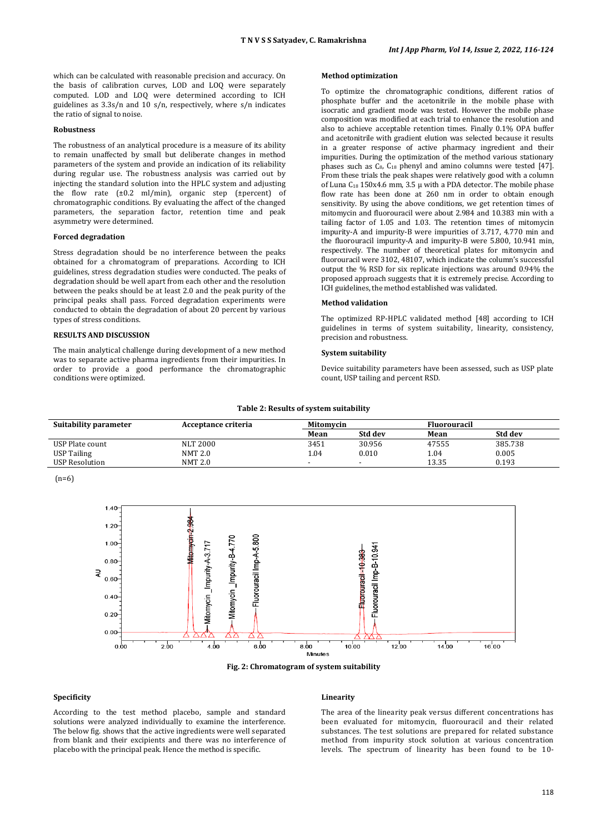which can be calculated with reasonable precision and accuracy. On the basis of calibration curves, LOD and LOQ were separately computed. LOD and LOQ were determined according to ICH guidelines as 3.3s/n and 10 s/n, respectively, where s/n indicates the ratio of signal to noise.

#### **Robustness**

The robustness of an analytical procedure is a measure of its ability to remain unaffected by small but deliberate changes in method parameters of the system and provide an indication of its reliability during regular use. The robustness analysis was carried out by injecting the standard solution into the HPLC system and adjusting the flow rate (±0.2 ml/min), organic step (±percent) of chromatographic conditions. By evaluating the affect of the changed parameters, the separation factor, retention time and peak asymmetry were determined.

# **Forced degradation**

Stress degradation should be no interference between the peaks obtained for a chromatogram of preparations. According to ICH guidelines, stress degradation studies were conducted. The peaks of degradation should be well apart from each other and the resolution between the peaks should be at least 2.0 and the peak purity of the principal peaks shall pass. Forced degradation experiments were conducted to obtain the degradation of about 20 percent by various types of stress conditions.

#### **RESULTS AND DISCUSSION**

The main analytical challenge during development of a new method was to separate active pharma ingredients from their impurities. In order to provide a good performance the chromatographic conditions were optimized.

# **Method optimization**

To optimize the chromatographic conditions, different ratios of phosphate buffer and the acetonitrile in the mobile phase with isocratic and gradient mode was tested. However the mobile phase composition was modified at each trial to enhance the resolution and also to achieve acceptable retention times. Finally 0.1% OPA buffer and acetonitrile with gradient elution was selected because it results in a greater response of active pharmacy ingredient and their impurities. During the optimization of the method various stationary phases such as  $C_8$ ,  $C_{18}$  phenyl and amino columns were tested [47]. From these trials the peak shapes were relatively good with a column of Luna  $C_{18}$  150x4.6 mm, 3.5  $\mu$  with a PDA detector. The mobile phase flow rate has been done at 260 nm in order to obtain enough sensitivity. By using the above conditions, we get retention times of mitomycin and fluorouracil were about 2.984 and 10.383 min with a tailing factor of 1.05 and 1.03. The retention times of mitomycin impurity-A and impurity-B were impurities of 3.717, 4.770 min and the fluorouracil impurity-A and impurity-B were 5.800, 10.941 min, respectively. The number of theoretical plates for mitomycin and fluorouracil were 3102, 48107, which indicate the column's successful output the % RSD for six replicate injections was around 0.94% the proposed approach suggests that it is extremely precise. According to ICH guidelines, the method established was validated.

### **Method validation**

The optimized RP-HPLC validated method [48] according to ICH guidelines in terms of system suitability, linearity, consistency, precision and robustness.

# **System suitability**

Device suitability parameters have been assessed, such as USP plate count, USP tailing and percent RSD.

#### **Table 2: Results of system suitability**

| Suitability parameter | Acceptance criteria | Mitomvcin |         | <b>Fluorouracil</b> |         |
|-----------------------|---------------------|-----------|---------|---------------------|---------|
|                       |                     | Mean      | Std dev | Mean                | Std dev |
| USP Plate count       | <b>NLT 2000</b>     | 3451      | 30.956  | 47555               | 385.738 |
| USP Tailing           | NMT 2.0             | 1.04      | 0.010   | 1.04                | 0.005   |
| USP Resolution        | <b>NMT 2.0</b>      |           |         | 13.35               | 0.193   |

 $(n=6)$ 



**Fig. 2: Chromatogram of system suitability**

# **Specificity**

According to the test method placebo, sample and standard solutions were analyzed individually to examine the interference. The below fig. shows that the active ingredients were well separated from blank and their excipients and there was no interference of placebo with the principal peak. Hence the method is specific.

# **Linearity**

The area of the linearity peak versus different concentrations has been evaluated for mitomycin, fluorouracil and their related substances. The test solutions are prepared for related substance method from impurity stock solution at various concentration levels. The spectrum of linearity has been found to be 10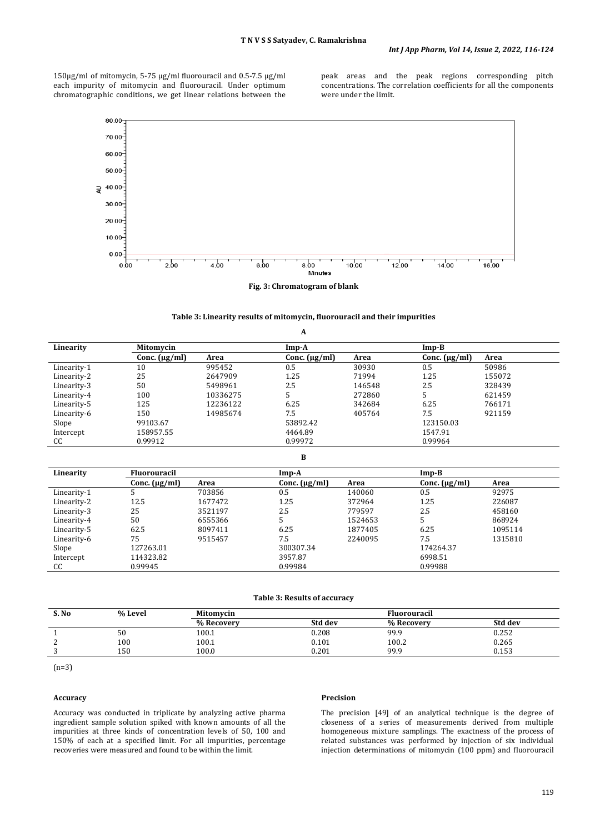150µg/ml of mitomycin, 5-75 µg/ml fluorouracil and 0.5-7.5 μg/ml each impurity of mitomycin and fluorouracil. Under optimum chromatographic conditions, we get linear relations between the

peak areas and the peak regions corresponding pitch concentrations. The correlation coefficients for all the components were under the limit.



|  | Fig. 3: Chromatogram of blank |  |  |  |
|--|-------------------------------|--|--|--|
|--|-------------------------------|--|--|--|

# **Table 3: Linearity results of mitomycin, fluorouracil and their impurities**

|             |                    |          | A                  |        |                    |        |
|-------------|--------------------|----------|--------------------|--------|--------------------|--------|
| Linearity   | Mitomycin          |          | $Imp-A$            |        | $Imp-B$            |        |
|             | Conc. $(\mu g/ml)$ | Area     | Conc. $(\mu g/ml)$ | Area   | Conc. $(\mu g/ml)$ | Area   |
| Linearity-1 | 10                 | 995452   | 0.5                | 30930  | 0.5                | 50986  |
| Linearity-2 | 25                 | 2647909  | 1.25               | 71994  | 1.25               | 155072 |
| Linearity-3 | 50                 | 5498961  | 2.5                | 146548 | 2.5                | 328439 |
| Linearity-4 | 100                | 10336275 |                    | 272860 |                    | 621459 |
| Linearity-5 | 125                | 12236122 | 6.25               | 342684 | 6.25               | 766171 |
| Linearity-6 | 150                | 14985674 | 7.5                | 405764 | 7.5                | 921159 |
| Slope       | 99103.67           |          | 53892.42           |        | 123150.03          |        |
| Intercept   | 158957.55          |          | 4464.89            |        | 1547.91            |        |
| CC          | 0.99912            |          | 0.99972            |        | 0.99964            |        |

| B           |                     |         |                    |         |                    |         |
|-------------|---------------------|---------|--------------------|---------|--------------------|---------|
| Linearity   | <b>Fluorouracil</b> |         | Imp-A              |         |                    |         |
|             | Conc. $(\mu g/ml)$  | Area    | Conc. $(\mu g/ml)$ | Area    | Conc. $(\mu g/ml)$ | Area    |
| Linearity-1 |                     | 703856  | 0.5                | 140060  | 0.5                | 92975   |
| Linearity-2 | 12.5                | 1677472 | 1.25               | 372964  | 1.25               | 226087  |
| Linearity-3 | 25                  | 3521197 | 2.5                | 779597  | 2.5                | 458160  |
| Linearity-4 | 50                  | 6555366 | 5                  | 1524653 | 5.                 | 868924  |
| Linearity-5 | 62.5                | 8097411 | 6.25               | 1877405 | 6.25               | 1095114 |
| Linearity-6 | 75                  | 9515457 | 7.5                | 2240095 | 7.5                | 1315810 |
| Slope       | 127263.01           |         | 300307.34          |         | 174264.37          |         |
| Intercept   | 114323.82           |         | 3957.87            |         | 6998.51            |         |
| CC          | 0.99945             |         | 0.99984            |         | 0.99988            |         |
|             |                     |         |                    |         |                    |         |

# **Table 3: Results of accuracy**

| S. No | % Level  | Mitomycin  |         | <b>Fluorouracil</b> |         |  |
|-------|----------|------------|---------|---------------------|---------|--|
|       |          | % Recovery | Std dev | % Recovery          | Std dev |  |
|       | ٣Λ<br>эv | 100.1      | 0.208   | 99.9                | 0.252   |  |
| ∼     | 100      | 100.1      | 0.101   | 100.2               | 0.265   |  |
|       | 150      | 100.0      | 0.201   | 99.9                | 0.153   |  |

(n=3)

# **Accuracy**

Accuracy was conducted in triplicate by analyzing active pharma ingredient sample solution spiked with known amounts of all the impurities at three kinds of concentration levels of 50, 100 and 150% of each at a specified limit. For all impurities, percentage recoveries were measured and found to be within the limit.

# **Precision**

The precision [49] of an analytical technique is the degree of closeness of a series of measurements derived from multiple homogeneous mixture samplings. The exactness of the process of related substances was performed by injection of six individual injection determinations of mitomycin (100 ppm) and fluorouracil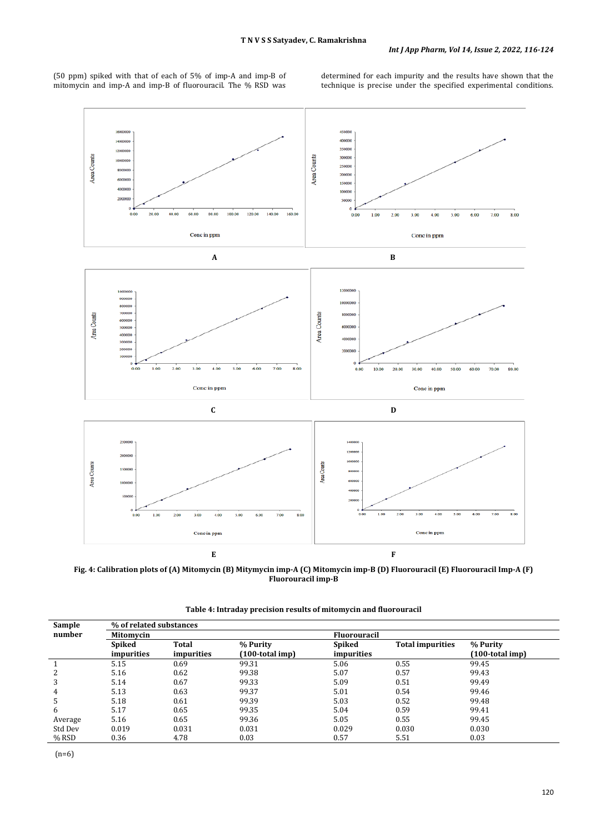(50 ppm) spiked with that of each of 5% of imp-A and imp-B of mitomycin and imp-A and imp-B of fluorouracil. The % RSD was determined for each impurity and the results have shown that the technique is precise under the specified experimental conditions.



**Fig. 4: Calibration plots of (A) Mitomycin (B) Mitymycin imp-A (C) Mitomycin imp-B (D) Fluorouracil (E) Fluorouracil Imp-A (F) Fluorouracil imp-B**

| Sample  | % of related substances |            |                    |            |                         |                    |  |  |
|---------|-------------------------|------------|--------------------|------------|-------------------------|--------------------|--|--|
| number  | Mitomycin               |            |                    |            | <b>Fluorouracil</b>     |                    |  |  |
|         | Spiked                  | Total      | % Purity           | Spiked     | <b>Total impurities</b> | % Purity           |  |  |
|         | impurities              | impurities | $(100$ -total imp) | impurities |                         | $(100$ -total imp) |  |  |
|         | 5.15                    | 0.69       | 99.31              | 5.06       | 0.55                    | 99.45              |  |  |
| 2       | 5.16                    | 0.62       | 99.38              | 5.07       | 0.57                    | 99.43              |  |  |
| 3       | 5.14                    | 0.67       | 99.33              | 5.09       | 0.51                    | 99.49              |  |  |
| 4       | 5.13                    | 0.63       | 99.37              | 5.01       | 0.54                    | 99.46              |  |  |
| 5       | 5.18                    | 0.61       | 99.39              | 5.03       | 0.52                    | 99.48              |  |  |
| 6       | 5.17                    | 0.65       | 99.35              | 5.04       | 0.59                    | 99.41              |  |  |
| Average | 5.16                    | 0.65       | 99.36              | 5.05       | 0.55                    | 99.45              |  |  |
| Std Dev | 0.019                   | 0.031      | 0.031              | 0.029      | 0.030                   | 0.030              |  |  |
| $%$ RSD | 0.36                    | 4.78       | 0.03               | 0.57       | 5.51                    | 0.03               |  |  |

**Table 4: Intraday precision results of mitomycin and fluorouracil**

(n=6)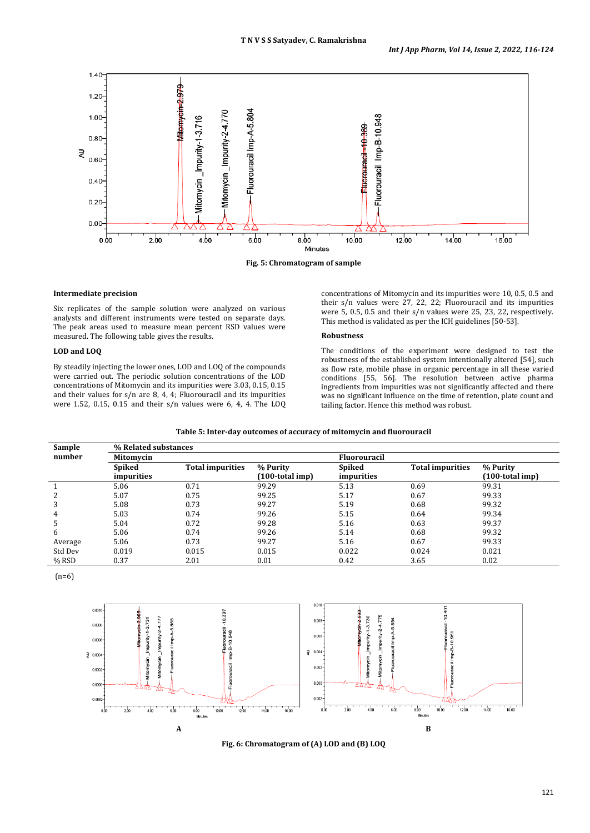

#### **Intermediate precision**

Six replicates of the sample solution were analyzed on various analysts and different instruments were tested on separate days. The peak areas used to measure mean percent RSD values were measured. The following table gives the results.

# **LOD and LOQ**

By steadily injecting the lower ones, LOD and LOQ of the compounds were carried out. The periodic solution concentrations of the LOD concentrations of Mitomycin and its impurities were 3.03, 0.15, 0.15 and their values for s/n are 8, 4, 4; Fluorouracil and its impurities were 1.52, 0.15, 0.15 and their s/n values were 6, 4, 4. The LOQ concentrations of Mitomycin and its impurities were 10, 0.5, 0.5 and their s/n values were 27, 22, 22; Fluorouracil and its impurities were 5, 0.5, 0.5 and their s/n values were 25, 23, 22, respectively. This method is validated as per the ICH guidelines [50-53].

### **Robustness**

The conditions of the experiment were designed to test the robustness of the established system intentionally altered [54], such as flow rate, mobile phase in organic percentage in all these varied conditions [55, 56]. The resolution between active pharma ingredients from impurities was not significantly affected and there was no significant influence on the time of retention, plate count and tailing factor. Hence this method was robust.

#### **Table 5: Inter-day outcomes of accuracy of mitomycin and fluorouracil**

| Sample  | % Related substances |                         |                    |                     |                         |                    |
|---------|----------------------|-------------------------|--------------------|---------------------|-------------------------|--------------------|
| number  | Mitomycin            |                         |                    | <b>Fluorouracil</b> |                         |                    |
|         | Spiked               | <b>Total impurities</b> | % Purity           | Spiked              | <b>Total impurities</b> | % Purity           |
|         | impurities           |                         | $(100$ -total imp) | impurities          |                         | $(100$ -total imp) |
|         | 5.06                 | 0.71                    | 99.29              | 5.13                | 0.69                    | 99.31              |
|         | 5.07                 | 0.75                    | 99.25              | 5.17                | 0.67                    | 99.33              |
| 3       | 5.08                 | 0.73                    | 99.27              | 5.19                | 0.68                    | 99.32              |
| 4       | 5.03                 | 0.74                    | 99.26              | 5.15                | 0.64                    | 99.34              |
| 5       | 5.04                 | 0.72                    | 99.28              | 5.16                | 0.63                    | 99.37              |
| 6       | 5.06                 | 0.74                    | 99.26              | 5.14                | 0.68                    | 99.32              |
| Average | 5.06                 | 0.73                    | 99.27              | 5.16                | 0.67                    | 99.33              |
| Std Dev | 0.019                | 0.015                   | 0.015              | 0.022               | 0.024                   | 0.021              |
| $%$ RSD | 0.37                 | 2.01                    | 0.01               | 0.42                | 3.65                    | 0.02               |

(n=6)



**Fig. 6: Chromatogram of (A) LOD and (B) LOQ**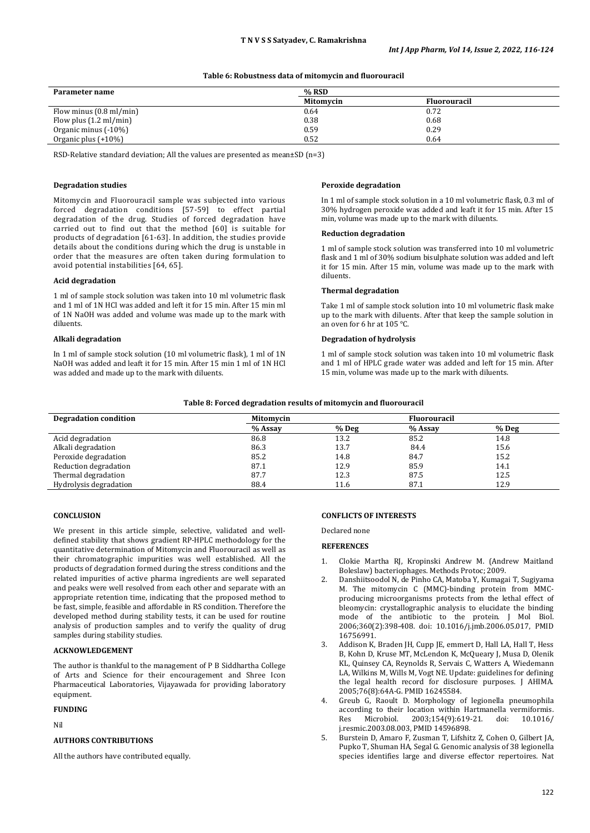# **Table 6: Robustness data of mitomycin and fluorouracil**

| Parameter name                    | % RSD     |              |  |
|-----------------------------------|-----------|--------------|--|
|                                   | Mitomvcin | Fluorouracil |  |
| Flow minus $(0.8 \text{ ml/min})$ | 0.64      | 0.72         |  |
| Flow plus $(1.2 \text{ ml/min})$  | 0.38      | 0.68         |  |
| Organic minus (-10%)              | 0.59      | 0.29         |  |
| Organic plus $(+10\%)$            | 0.52      | 0.64         |  |

RSD-Relative standard deviation; All the values are presented as mean±SD (n=3)

#### **Degradation studies**

Mitomycin and Fluorouracil sample was subjected into various forced degradation conditions [57-59] to effect partial degradation of the drug. Studies of forced degradation have carried out to find out that the method [60] is suitable for products of degradation [61-63]. In addition, the studies provide details about the conditions during which the drug is unstable in order that the measures are often taken during formulation to avoid potential instabilities [64, 65].

#### **Acid degradation**

1 ml of sample stock solution was taken into 10 ml volumetric flask and 1 ml of 1N HCl was added and left it for 15 min. After 15 min ml of 1N NaOH was added and volume was made up to the mark with diluents.

### **Alkali degradation**

In 1 ml of sample stock solution (10 ml volumetric flask), 1 ml of 1N NaOH was added and leaft it for 15 min. After 15 min 1 ml of 1N HCl was added and made up to the mark with diluents.

#### **Peroxide degradation**

In 1 ml of sample stock solution in a 10 ml volumetric flask, 0.3 ml of 30% hydrogen peroxide was added and leaft it for 15 min. After 15 min, volume was made up to the mark with diluents.

### **Reduction degradation**

1 ml of sample stock solution was transferred into 10 ml volumetric flask and 1 ml of 30% sodium bisulphate solution was added and left it for 15 min. After 15 min, volume was made up to the mark with diluents.

# **Thermal degradation**

Take 1 ml of sample stock solution into 10 ml volumetric flask make up to the mark with diluents. After that keep the sample solution in an oven for 6 hr at 105 °C.

### **Degradation of hydrolysis**

1 ml of sample stock solution was taken into 10 ml volumetric flask and 1 ml of HPLC grade water was added and left for 15 min. After 15 min, volume was made up to the mark with diluents.

#### **Table 8: Forced degradation results of mitomycin and fluorouracil**

| <b>Degradation condition</b> | Mitomycin |       | <b>Fluorouracil</b> |       |
|------------------------------|-----------|-------|---------------------|-------|
|                              | % Assay   | % Deg | % Assay             | % Deg |
| Acid degradation             | 86.8      | 13.2  | 85.2                | 14.8  |
| Alkali degradation           | 86.3      | 13.7  | 84.4                | 15.6  |
| Peroxide degradation         | 85.2      | 14.8  | 84.7                | 15.2  |
| Reduction degradation        | 87.1      | 12.9  | 85.9                | 14.1  |
| Thermal degradation          | 87.7      | 12.3  | 87.5                | 12.5  |
| Hydrolysis degradation       | 88.4      | 11.6  | 87.1                | 12.9  |

#### **CONCLUSION**

We present in this article simple, selective, validated and welldefined stability that shows gradient RP-HPLC methodology for the quantitative determination of Mitomycin and Fluorouracil as well as their chromatographic impurities was well established. All the products of degradation formed during the stress conditions and the related impurities of active pharma ingredients are well separated and peaks were well resolved from each other and separate with an appropriate retention time, indicating that the proposed method to be fast, simple, feasible and affordable in RS condition. Therefore the developed method during stability tests, it can be used for routine analysis of production samples and to verify the quality of drug samples during stability studies.

# **ACKNOWLEDGEMENT**

The author is thankful to the management of P B Siddhartha College of Arts and Science for their encouragement and Shree Icon Pharmaceutical Laboratories, Vijayawada for providing laboratory equipment.

#### **FUNDING**

Nil

# **AUTHORS CONTRIBUTIONS**

All the authors have contributed equally.

#### **CONFLICTS OF INTERESTS**

Declared none

#### **REFERENCES**

- 1. Clokie Martha RJ, Kropinski Andrew M. (Andrew Maitland Boleslaw) bacteriophages. Methods Protoc; 2009.
- 2. Danshiitsoodol N, de Pinho CA, Matoba Y, Kumagai T, Sugiyama M. The mitomycin C (MMC)-binding protein from MMCproducing microorganisms protects from the lethal effect of bleomycin: crystallographic analysis to elucidate the binding mode of the antibiotic to the protein. J Mol Biol. 2006;360(2):398-408. doi: [10.1016/j.jmb.2006.05.017,](https://doi.org/10.1016/j.jmb.2006.05.017) PMID [16756991.](https://www.ncbi.nlm.nih.gov/pubmed/16756991)
- 3. Addison K, Braden JH, Cupp JE, emmert D, Hall LA, Hall T, Hess B, Kohn D, Kruse MT, McLendon K, McQueary J, Musa D, Olenik KL, Quinsey CA, Reynolds R, Servais C, Watters A, Wiedemann LA, Wilkins M, Wills M, Vogt NE. Update: guidelines for defining the legal health record for disclosure purposes. J AHIMA. 2005;76(8):64A-G. PMI[D 16245584.](https://www.ncbi.nlm.nih.gov/pubmed/16245584)
- 4. Greub G, Raoult D. Morphology of legionella pneumophila according to their location within Hartmanella vermiformis.<br>Res Microbiol. 2003;154(9):619-21. doi: 10.1016/ 2003;154(9):619-21. [j.resmic.2003.08.003,](https://doi.org/10.1016/j.resmic.2003.08.003) PMI[D 14596898.](https://www.ncbi.nlm.nih.gov/pubmed/14596898)
- 5. Burstein D, Amaro F, Zusman T, Lifshitz Z, Cohen O, Gilbert JA, Pupko T, Shuman HA, Segal G. Genomic analysis of 38 legionella species identifies large and diverse effector repertoires. Nat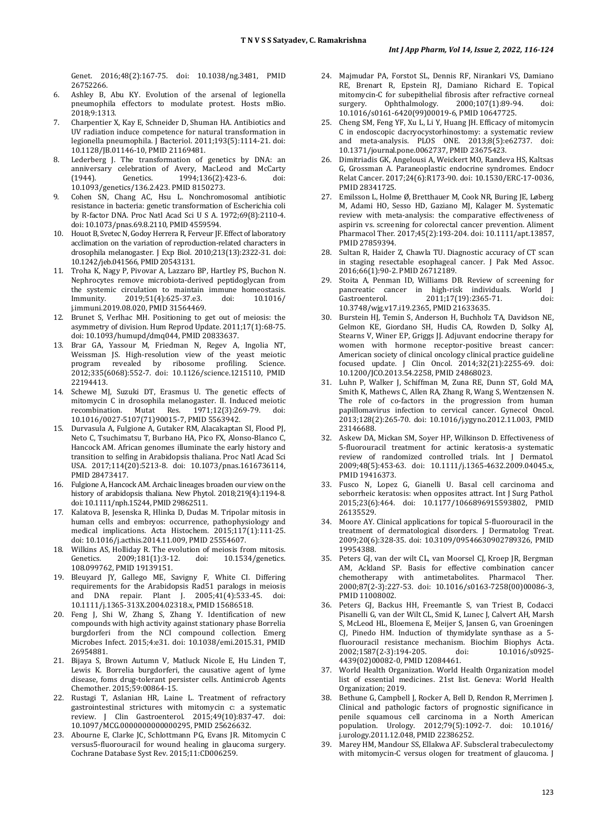Genet. 2016;48(2):167-75. doi: [10.1038/ng.3481,](https://doi.org/10.1038/ng.3481) PMID [26752266.](https://www.ncbi.nlm.nih.gov/pubmed/26752266)

- 6. Ashley B, Abu KY. Evolution of the arsenal of legionella pneumophila effectors to modulate protest. Hosts mBio. 2018;9:1313.
- 7. Charpentier X, Kay E, Schneider D, Shuman HA. Antibiotics and UV radiation induce competence for natural transformation in legionella pneumophila. J Bacteriol. 2011;193(5):1114-21. doi: [10.1128/JB.01146-10,](https://doi.org/10.1128/JB.01146-10) PMI[D 21169481.](https://www.ncbi.nlm.nih.gov/pubmed/21169481)
- 8. Lederberg J. The transformation of genetics by DNA: an anniversary celebration of Avery, MacLeod and McCarty<br>
(1944). Genetics. 1994:136(2):423-6. doi: 1994;136(2):423-6. [10.1093/genetics/136.2.423.](https://doi.org/10.1093/genetics/136.2.423) PMI[D 8150273.](https://www.ncbi.nlm.nih.gov/pubmed/8150273)
- 9. Cohen SN, Chang AC, Hsu L. Nonchromosomal antibiotic resistance in bacteria: genetic transformation of Escherichia coli by R-factor DNA. Proc Natl Acad Sci U S A. 1972;69(8):2110-4. doi[: 10.1073/pnas.69.8.2110,](https://doi.org/10.1073/pnas.69.8.2110) PMI[D 4559594.](https://www.ncbi.nlm.nih.gov/pubmed/4559594)
- 10. Houot B, Svetec N, Godoy Herrera R, Ferveur JF. Effect of laboratory acclimation on the variation of reproduction-related characters in drosophila melanogaster. J Exp Biol. 2010;213(13):2322-31. doi: [10.1242/jeb.041566,](https://doi.org/10.1242/jeb.041566) PMI[D 20543131.](https://www.ncbi.nlm.nih.gov/pubmed/20543131)
- 11. Troha K, Nagy P, Pivovar A, Lazzaro BP, Hartley PS, Buchon N. Nephrocytes remove microbiota-derived peptidoglycan from the systemic circulation to maintain immune homeostasis.<br>
Immunity. 2019:51(4):625-37.e3. doi: 10.1016/ 2019;51(4):625-37.e3. [j.immuni.2019.08.020,](https://doi.org/10.1016/j.immuni.2019.08.020) PMI[D 31564469.](https://www.ncbi.nlm.nih.gov/pubmed/31564469)
- 12. Brunet S, Verlhac MH. Positioning to get out of meiosis: the asymmetry of division. Hum Reprod Update. 2011;17(1):68-75. doi: [10.1093/humupd/dmq044,](https://doi.org/10.1093/humupd/dmq044) PMI[D 20833637.](https://www.ncbi.nlm.nih.gov/pubmed/20833637)
- 13. Brar GA, Yassour M, Friedman N, Regev A, Ingolia NT, Weissman JS. High-resolution view of the yeast meiotic program revealed by ribosome profiling. Science. 2012;335(6068):552-7. doi: [10.1126/science.1215110,](https://doi.org/10.1126/science.1215110) PMID [22194413.](https://www.ncbi.nlm.nih.gov/pubmed/22194413)
- 14. Schewe MJ, Suzuki DT, Erasmus U. The genetic effects of mitomycin C in drosophila melanogaster. II. Induced meiotic recombination. Mutat Res. 1971;12(3):269-79. doi: recombination. Mutat Res. [10.1016/0027-5107\(71\)90015-7,](https://doi.org/10.1016/0027-5107(71)90015-7) PMI[D 5563942.](https://www.ncbi.nlm.nih.gov/pubmed/5563942)
- 15. Durvasula A, Fulgione A, Gutaker RM, Alacakaptan SI, Flood PJ, Neto C, Tsuchimatsu T, Burbano HA, Pico FX, Alonso-Blanco C, Hancock AM. African genomes illuminate the early history and transition to selfing in Arabidopsis thaliana. Proc Natl Acad Sci USA. 2017;114(20):5213-8. doi: [10.1073/pnas.1616736114,](https://doi.org/10.1073/pnas.1616736114)  PMI[D 28473417.](https://www.ncbi.nlm.nih.gov/pubmed/28473417)
- 16. Fulgione A, Hancock AM. Archaic lineages broaden our view on the history of arabidopsis thaliana. New Phytol. 2018;219(4):1194-8. doi[: 10.1111/nph.15244,](https://doi.org/10.1111/nph.15244) PMI[D 29862511.](https://www.ncbi.nlm.nih.gov/pubmed/29862511)
- 17. Kalatova B, Jesenska R, Hlinka D, Dudas M. Tripolar mitosis in human cells and embryos: occurrence, pathophysiology and medical implications. Acta Histochem. 2015;117(1):111-25. doi: [10.1016/j.acthis.2014.11.009,](https://doi.org/10.1016/j.acthis.2014.11.009) PMID [25554607.](https://www.ncbi.nlm.nih.gov/pubmed/25554607)
- 18. Wilkins AS, Holliday R. The evolution of meiosis from mitosis.<br>
Genetics. 2009:181(1):3-12. doi: 10.1534/genetics. [10.1534/genetics.](https://doi.org/10.1534/genetics.108.099762) [108.099762,](https://doi.org/10.1534/genetics.108.099762) PMI[D 19139151.](https://www.ncbi.nlm.nih.gov/pubmed/19139151)
- 19. Bleuyard JY, Gallego ME, Savigny F, White CI. Differing requirements for the Arabidopsis Rad51 paralogs in meiosis<br>and DNA repair. Plant I. 2005:41(4):533-45. doi: and DNA repair. Plant J. 2005;41(4):533-45. [10.1111/j.1365-313X.2004.02318.x,](https://doi.org/10.1111/j.1365-313X.2004.02318.x) PMI[D 15686518.](https://www.ncbi.nlm.nih.gov/pubmed/15686518)
- 20. Feng J, Shi W, Zhang S, Zhang Y. Identification of new compounds with high activity against stationary phase Borrelia burgdorferi from the NCI compound collection. Emerg Microbes Infect. 2015;4:e31. doi: [10.1038/emi.2015.31,](https://doi.org/10.1038/emi.2015.31) PMID [26954881.](https://www.ncbi.nlm.nih.gov/pubmed/26954881)
- 21. Bijaya S, Brown Autumn V, Matluck Nicole E, Hu Linden T, Lewis K. Borrelia burgdorferi, the causative agent of lyme disease, foms drug-tolerant persister cells. Antimicrob Agents Chemother. 2015;59:00864-15.
- 22. Rustagi T, Aslanian HR, Laine L. Treatment of refractory gastrointestinal strictures with mitomycin c: a systematic review. J Clin Gastroenterol. 2015;49(10):837-47. doi: [10.1097/MCG.0000000000000295,](https://doi.org/10.1097/MCG.0000000000000295) PMI[D 25626632.](https://www.ncbi.nlm.nih.gov/pubmed/25626632)
- 23. Abourne E, Clarke JC, Schlottmann PG, Evans JR. Mitomycin C versus5-fluorouracil for wound healing in glaucoma surgery. Cochrane Database Syst Rev. 2015;11:CD006259.
- 24. Majmudar PA, Forstot SL, Dennis RF, Nirankari VS, Damiano RE, Brenart R, Epstein RJ, Damiano Richard E. Topical mitomycin-C for subepithelial fibrosis after refractive corneal<br>surgery. 0phthalmology. 2000;107(1):89-94. doi: surgery. Ophthalmology. 2000;107(1):89-94. doi: [10.1016/s0161-6420\(99\)00019-6,](https://doi.org/10.1016/s0161-6420(99)00019-6) PMI[D 10647725.](https://www.ncbi.nlm.nih.gov/pubmed/10647725)
- 25. Cheng SM, Feng YF, Xu L, Li Y, Huang JH. Efficacy of mitomycin C in endoscopic dacryocystorhinostomy: a systematic review and meta-analysis. PLOS ONE. 2013;8(5):e62737. doi: [10.1371/journal.pone.0062737,](https://doi.org/10.1371/journal.pone.0062737) PMI[D 23675423.](https://www.ncbi.nlm.nih.gov/pubmed/23675423)
- 26. Dimitriadis GK, Angelousi A, Weickert MO, Randeva HS, Kaltsas G, Grossman A. Paraneoplastic endocrine syndromes. Endocr Relat Cancer. 2017;24(6):R173-90. doi[: 10.1530/ERC-17-0036,](https://doi.org/10.1530/ERC-17-0036)  PMI[D 28341725.](https://www.ncbi.nlm.nih.gov/pubmed/28341725)
- Emilsson L, Holme Ø, Bretthauer M, Cook NR, Buring JE, Løberg M, Adami HO, Sesso HD, Gaziano MJ, Kalager M. Systematic review with meta-analysis: the comparative effectiveness of aspirin vs. screening for colorectal cancer prevention. Aliment Pharmacol Ther. 2017;45(2):193-204. doi: [10.1111/apt.13857,](https://doi.org/10.1111/apt.13857)  PMI[D 27859394.](https://www.ncbi.nlm.nih.gov/pubmed/27859394)
- 28. Sultan R, Haider Z, Chawla TU. Diagnostic accuracy of CT scan in staging resectable esophageal cancer. J Pak Med Assoc. 2016;66(1):90-2. PMI[D 26712189.](https://www.ncbi.nlm.nih.gov/pubmed/26712189)
- 29. Stoita A, Penman ID, Williams DB. Review of screening for pancreatic cancer in high-risk individuals. World J<br>Gastroenterol. 2011;17(19):2365-71. doi: 2011;17(19):2365-71. [10.3748/wjg.v17.i19.2365,](https://doi.org/10.3748/wjg.v17.i19.2365) PMI[D 21633635.](https://www.ncbi.nlm.nih.gov/pubmed/21633635)
- 30. Burstein HJ, Temin S, Anderson H, Buchholz TA, Davidson NE, Gelmon KE, Giordano SH, Hudis CA, Rowden D, Solky AJ, Stearns V, Winer EP, Griggs JJ. Adjuvant endocrine therapy for women with hormone receptor-positive breast cancer: American society of clinical oncology clinical practice guideline focused update. J Clin Oncol. 2014;32(21):2255-69. doi: [10.1200/JCO.2013.54.2258,](https://doi.org/10.1200/JCO.2013.54.2258) PMI[D 24868023.](https://www.ncbi.nlm.nih.gov/pubmed/24868023)
- 31. Luhn P, Walker J, Schiffman M, Zuna RE, Dunn ST, Gold MA, Smith K, Mathews C, Allen RA, Zhang R, Wang S, Wentzensen N. The role of co-factors in the progression from human papillomavirus infection to cervical cancer. Gynecol Oncol. 2013;128(2):265-70. doi: [10.1016/j.ygyno.2012.11.003,](https://doi.org/10.1016/j.ygyno.2012.11.003) PMID [23146688.](https://www.ncbi.nlm.nih.gov/pubmed/23146688)
- 32. Askew DA, Mickan SM, Soyer HP, Wilkinson D. Effectiveness of 5-fluorouracil treatment for actinic keratosis-a systematic review of randomized controlled trials. Int J Dermatol. 2009;48(5):453-63. doi: [10.1111/j.1365-4632.2009.04045.x,](https://doi.org/10.1111/j.1365-4632.2009.04045.x)  PMI[D 19416373.](https://www.ncbi.nlm.nih.gov/pubmed/19416373)
- 33. Fusco N, Lopez G, Gianelli U. Basal cell carcinoma and seborrheic keratosis: when opposites attract. Int J Surg Pathol. 2015;23(6):464. doi: [10.1177/1066896915593802,](https://doi.org/10.1177/1066896915593802) PMID [26135529.](https://www.ncbi.nlm.nih.gov/pubmed/26135529)
- 34. Moore AY. Clinical applications for topical 5-fluorouracil in the treatment of dermatological disorders. J Dermatolog Treat. 2009;20(6):328-35. doi[: 10.3109/09546630902789326,](https://doi.org/10.3109/09546630902789326) PMID [19954388.](https://www.ncbi.nlm.nih.gov/pubmed/19954388)
- 35. Peters GJ, van der wilt CL, van Moorsel CJ, Kroep JR, Bergman AM, Ackland SP. Basis for effective combination cancer chemotherapy with antimetabolites. Pharmacol Ther. with antimetabolites. Pharmacol 2000;87(2-3):227-53. doi: [10.1016/s0163-7258\(00\)00086-3,](https://doi.org/10.1016/s0163-7258(00)00086-3)  PMI[D 11008002.](https://www.ncbi.nlm.nih.gov/pubmed/11008002)
- 36. Peters GJ, Backus HH, Freemantle S, van Triest B, Codacci Pisanelli G, van der Wilt CL, Smid K, Lunec J, Calvert AH, Marsh S, McLeod HL, Bloemena E, Meijer S, Jansen G, van Groeningen CJ, Pinedo HM. Induction of thymidylate synthase as a 5 fluorouracil resistance mechanism. Biochim Biophys Acta. 2002;1587(2-3):194-205. [4439\(02\)00082-0,](https://doi.org/10.1016/s0925-4439(02)00082-0) PMI[D 12084461.](https://www.ncbi.nlm.nih.gov/pubmed/12084461)
- 37. World Health Organization. World Health Organization model list of essential medicines. 21st list. Geneva: World Health Organization; 2019.
- 38. Bethune G, Campbell J, Rocker A, Bell D, Rendon R, Merrimen J. Clinical and pathologic factors of prognostic significance in penile squamous cell carcinoma in a North American population. Urology. 2012;79(5):1092-7. doi: [10.1016/](https://doi.org/10.1016/j.urology.2011.12.048) [j.urology.2011.12.048,](https://doi.org/10.1016/j.urology.2011.12.048) PMID [22386252.](https://www.ncbi.nlm.nih.gov/pubmed/22386252)
- Marey HM, Mandour SS, Ellakwa AF. Subscleral trabeculectomy with mitomycin-C versus ologen for treatment of glaucoma. J